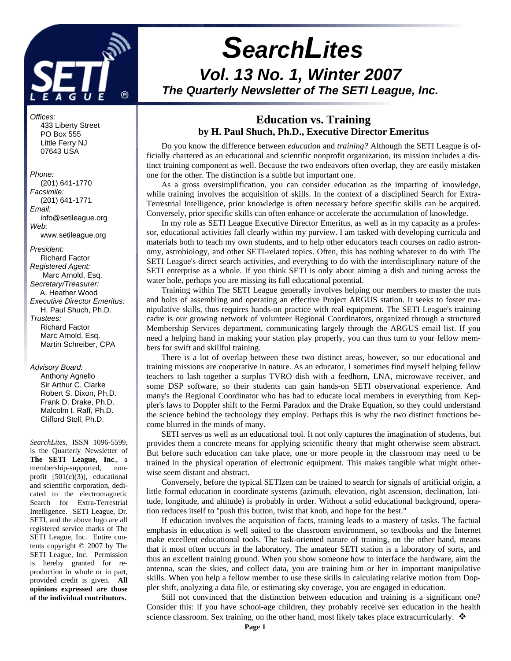

# *SearchLites Vol. 13 No. 1, Winter 2007 The Quarterly Newsletter of The SETI League, Inc.*

## **Education vs. Training by H. Paul Shuch, Ph.D., Executive Director Emeritus**

Do you know the difference between *education* and *training?* Although the SETI League is officially chartered as an educational and scientific nonprofit organization, its mission includes a distinct training component as well. Because the two endeavors often overlap, they are easily mistaken one for the other. The distinction is a subtle but important one.

As a gross oversimplification, you can consider education as the imparting of knowledge, while training involves the acquisition of skills. In the context of a disciplined Search for Extra-Terrestrial Intelligence, prior knowledge is often necessary before specific skills can be acquired. Conversely, prior specific skills can often enhance or accelerate the accumulation of knowledge.

In my role as SETI League Executive Director Emeritus, as well as in my capacity as a professor, educational activities fall clearly within my purview. I am tasked with developing curricula and materials both to teach my own students, and to help other educators teach courses on radio astronomy, astrobiology, and other SETI-related topics. Often, this has nothing whatever to do with The SETI League's direct search activities, and everything to do with the interdisciplinary nature of the SETI enterprise as a whole. If you think SETI is only about aiming a dish and tuning across the water hole, perhaps you are missing its full educational potential.

Training within The SETI League generally involves helping our members to master the nuts and bolts of assembling and operating an effective Project ARGUS station. It seeks to foster manipulative skills, thus requires hands-on practice with real equipment. The SETI League's training cadre is our growing network of volunteer Regional Coordinators, organized through a structured Membership Services department, communicating largely through the ARGUS email list. If you need a helping hand in making your station play properly, you can thus turn to your fellow members for swift and skillful training.

There is a lot of overlap between these two distinct areas, however, so our educational and training missions are cooperative in nature. As an educator, I sometimes find myself helping fellow teachers to lash together a surplus TVRO dish with a feedhorn, LNA, microwave receiver, and some DSP software, so their students can gain hands-on SETI observational experience. And many's the Regional Coordinator who has had to educate local members in everything from Keppler's laws to Doppler shift to the Fermi Paradox and the Drake Equation, so they could understand the science behind the technology they employ. Perhaps this is why the two distinct functions become blurred in the minds of many.

SETI serves us well as an educational tool. It not only captures the imagination of students, but provides them a concrete means for applying scientific theory that might otherwise seem abstract. But before such education can take place, one or more people in the classroom may need to be trained in the physical operation of electronic equipment. This makes tangible what might otherwise seem distant and abstract.

Conversely, before the typical SETIzen can be trained to search for signals of artificial origin, a little formal education in coordinate systems (azimuth, elevation, right ascension, declination, latitude, longitude, and altitude) is probably in order. Without a solid educational background, operation reduces itself to "push this button, twist that knob, and hope for the best."

If education involves the acquisition of facts, training leads to a mastery of tasks. The factual emphasis in education is well suited to the classroom environment, so textbooks and the Internet make excellent educational tools. The task-oriented nature of training, on the other hand, means that it most often occurs in the laboratory. The amateur SETI station is a laboratory of sorts, and thus an excellent training ground. When you show someone how to interface the hardware, aim the antenna, scan the skies, and collect data, you are training him or her in important manipulative skills. When you help a fellow member to use these skills in calculating relative motion from Doppler shift, analyzing a data file, or estimating sky coverage, you are engaged in education.

Still not convinced that the distinction between education and training is a significant one? Consider this: if you have school-age children, they probably receive sex education in the health science classroom. Sex training, on the other hand, most likely takes place extracurricularly.  $\mathbf{\hat{P}}$ 

*Offices:*

 433 Liberty Street PO Box 555 Little Ferry NJ 07643 USA

## *Phone:*

 (201) 641-1770 *Facsimile:* (201) 641-1771 *Email:* info@setileague.org *Web:* www.setileague.org

*President:* Richard Factor *Registered Agent:*  Marc Arnold, Esq. *Secretary/Treasurer:* A. Heather Wood *Executive Director Emeritus:* H. Paul Shuch, Ph.D. *Trustees:* Richard Factor Marc Arnold, Esq. Martin Schreiber, CPA

### *Advisory Board:*

 Anthony Agnello Sir Arthur C. Clarke Robert S. Dixon, Ph.D. Frank D. Drake, Ph.D. Malcolm I. Raff, Ph.D. Clifford Stoll, Ph.D.

*SearchLites*, ISSN 1096-5599, is the Quarterly Newsletter of **The SETI League, Inc**., a membership-supported, nonprofit [501(c)(3)], educational and scientific corporation, dedicated to the electromagnetic Search for Extra-Terrestrial Intelligence. SETI League, Dr. SETI, and the above logo are all registered service marks of The SETI League, Inc. Entire contents copyright © 2007 by The SETI League, Inc. Permission is hereby granted for reproduction in whole or in part, provided credit is given. **All opinions expressed are those of the individual contributors.**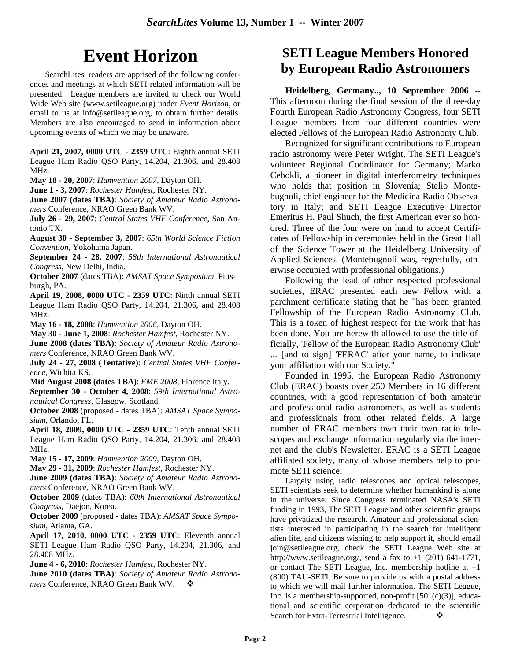# **Event Horizon**

SearchLites' readers are apprised of the following conferences and meetings at which SETI-related information will be presented. League members are invited to check our World Wide Web site (www.setileague.org) under *Event Horizon*, or email to us at info@setileague.org, to obtain further details. Members are also encouraged to send in information about upcoming events of which we may be unaware.

**April 21, 2007, 0000 UTC - 2359 UTC**: Eighth annual SETI League Ham Radio QSO Party, 14.204, 21.306, and 28.408 MHz.

**May 18 - 20, 2007**: *Hamvention 2007*, Dayton OH.

**June 1 - 3, 2007**: *Rochester Hamfest*, Rochester NY.

**June 2007 (dates TBA)**: *Society of Amateur Radio Astronomers* Conference, NRAO Green Bank WV.

**July 26 - 29, 2007**: *Central States VHF Conference*, San Antonio TX.

**August 30 - September 3, 2007**: *65th World Science Fiction Convention*, Yokohama Japan.

**September 24 - 28, 2007**: *58th International Astronautical Congress*, New Delhi, India.

**October 2007** (dates TBA): *AMSAT Space Symposium*, Pittsburgh, PA.

**April 19, 2008, 0000 UTC - 2359 UTC**: Ninth annual SETI League Ham Radio QSO Party, 14.204, 21.306, and 28.408 MHz.

**May 16 - 18, 2008**: *Hamvention 2008*, Dayton OH.

**May 30 - June 1, 2008**: *Rochester Hamfest*, Rochester NY. **June 2008 (dates TBA)**: *Society of Amateur Radio Astronomers* Conference, NRAO Green Bank WV.

**July 24 - 27, 2008 (Tentative)**: *Central States VHF Conference*, Wichita KS.

**Mid August 2008 (dates TBA)**: *EME 2008*, Florence Italy.

**September 30 - October 4, 2008**: *59th International Astronautical Congress*, Glasgow, Scotland.

**October 2008** (proposed - dates TBA): *AMSAT Space Symposium*, Orlando, FL.

**April 18, 2009, 0000 UTC - 2359 UTC**: Tenth annual SETI League Ham Radio QSO Party, 14.204, 21.306, and 28.408 MHz.

**May 15 - 17, 2009**: *Hamvention 2009*, Dayton OH.

**May 29 - 31, 2009**: *Rochester Hamfest*, Rochester NY.

**June 2009 (dates TBA)**: *Society of Amateur Radio Astronomers* Conference, NRAO Green Bank WV.

**October 2009** (dates TBA): *60th International Astronautical Congress*, Daejon, Korea.

**October 2009** (proposed - dates TBA): *AMSAT Space Symposium*, Atlanta, GA.

**April 17, 2010, 0000 UTC - 2359 UTC**: Eleventh annual SETI League Ham Radio QSO Party, 14.204, 21.306, and 28.408 MHz.

**June 4 - 6, 2010**: *Rochester Hamfest*, Rochester NY.

**June 2010 (dates TBA)**: *Society of Amateur Radio Astronomers* Conference, NRAO Green Bank WV.  $\bullet$ 

## **SETI League Members Honored by European Radio Astronomers**

**Heidelberg, Germany.., 10 September 2006** -- This afternoon during the final session of the three-day Fourth European Radio Astronomy Congress, four SETI League members from four different countries were elected Fellows of the European Radio Astronomy Club.

Recognized for significant contributions to European radio astronomy were Peter Wright, The SETI League's volunteer Regional Coordinator for Germany; Marko Cebokli, a pioneer in digital interferometry techniques who holds that position in Slovenia; Stelio Montebugnoli, chief engineer for the Medicina Radio Observatory in Italy; and SETI League Executive Director Emeritus H. Paul Shuch, the first American ever so honored. Three of the four were on hand to accept Certificates of Fellowship in ceremonies held in the Great Hall of the Science Tower at the Heidelberg University of Applied Sciences. (Montebugnoli was, regretfully, otherwise occupied with professional obligations.)

Following the lead of other respected professional societies, ERAC presented each new Fellow with a parchment certificate stating that he "has been granted Fellowship of the European Radio Astronomy Club. This is a token of highest respect for the work that has been done. You are herewith allowed to use the title officially, 'Fellow of the European Radio Astronomy Club' ... [and to sign] 'FERAC' after your name, to indicate your affiliation with our Society."

Founded in 1995, the European Radio Astronomy Club (ERAC) boasts over 250 Members in 16 different countries, with a good representation of both amateur and professional radio astronomers, as well as students and professionals from other related fields. A large number of ERAC members own their own radio telescopes and exchange information regularly via the internet and the club's Newsletter. ERAC is a SETI League affiliated society, many of whose members help to promote SETI science.

Largely using radio telescopes and optical telescopes, SETI scientists seek to determine whether humankind is alone in the universe. Since Congress terminated NASA's SETI funding in 1993, The SETI League and other scientific groups have privatized the research. Amateur and professional scientists interested in participating in the search for intelligent alien life, and citizens wishing to help support it, should email join@setileague.org, check the SETI League Web site at http://www.setileague.org/, send a fax to  $+1$  (201) 641-1771, or contact The SETI League, Inc. membership hotline at +1 (800) TAU-SETI. Be sure to provide us with a postal address to which we will mail further information. The SETI League, Inc. is a membership-supported, non-profit  $[501(c)(3)]$ , educational and scientific corporation dedicated to the scientific Search for Extra-Terrestrial Intelligence.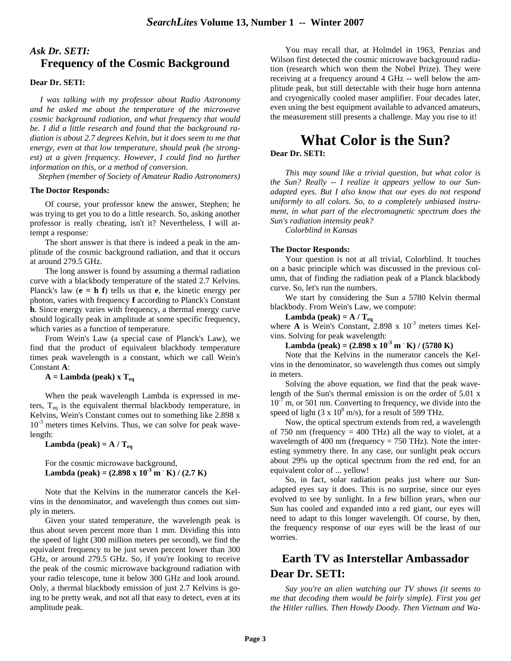## *Ask Dr. SETI:* **Frequency of the Cosmic Background**

### **Dear Dr. SETI:**

 *I was talking with my professor about Radio Astronomy and he asked me about the temperature of the microwave cosmic background radiation, and what frequency that would be. I did a little research and found that the background radiation is about 2.7 degrees Kelvin, but it does seem to me that energy, even at that low temperature, should peak (be strongest) at a given frequency. However, I could find no further information on this, or a method of conversion.* 

*Stephen (member of Society of Amateur Radio Astronomers)*

#### **The Doctor Responds:**

Of course, your professor knew the answer, Stephen; he was trying to get you to do a little research. So, asking another professor is really cheating, isn't it? Nevertheless, I will attempt a response:

The short answer is that there is indeed a peak in the amplitude of the cosmic background radiation, and that it occurs at around 279.5 GHz.

The long answer is found by assuming a thermal radiation curve with a blackbody temperature of the stated 2.7 Kelvins. Planck's law  $(e = h f)$  tells us that **e**, the kinetic energy per photon, varies with frequency **f** according to Planck's Constant **h**. Since energy varies with frequency, a thermal energy curve should logically peak in amplitude at some specific frequency, which varies as a function of temperature.

From Wein's Law (a special case of Planck's Law), we find that the product of equivalent blackbody temperature times peak wavelength is a constant, which we call Wein's Constant **A**:

**A = Lambda (peak) x Teq**

When the peak wavelength Lambda is expressed in meters,  $T_{eq}$  is the equivalent thermal blackbody temperature, in Kelvins, Wein's Constant comes out to something like 2.898 x  $10^{-3}$  meters times Kelvins. Thus, we can solve for peak wavelength:

**Lambda** (peak) =  $A / T_{eq}$ 

For the cosmic microwave background, **Lambda** (peak) =  $(2.898 \times 10^{-3} \text{ m} \cdot \text{K}) / (2.7 \text{ K})$ 

Note that the Kelvins in the numerator cancels the Kelvins in the denominator, and wavelength thus comes out simply in meters.

Given your stated temperature, the wavelength peak is thus about seven percent more than 1 mm. Dividing this into the speed of light (300 million meters per second), we find the equivalent frequency to be just seven percent lower than 300 GHz, or around 279.5 GHz. So, if you're looking to receive the peak of the cosmic microwave background radiation with your radio telescope, tune it below 300 GHz and look around. Only, a thermal blackbody emission of just 2.7 Kelvins is going to be pretty weak, and not all that easy to detect, even at its amplitude peak.

You may recall that, at Holmdel in 1963, Penzias and Wilson first detected the cosmic microwave background radiation (research which won them the Nobel Prize). They were receiving at a frequency around 4 GHz -- well below the amplitude peak, but still detectable with their huge horn antenna and cryogenically cooled maser amplifier. Four decades later, even using the best equipment available to advanced amateurs, the measurement still presents a challenge. May you rise to it!

## **What Color is the Sun? Dear Dr. SETI:**

*This may sound like a trivial question, but what color is the Sun? Really -- I realize it appears yellow to our Sunadapted eyes. But I also know that our eyes do not respond uniformly to all colors. So, to a completely unbiased instrument, in what part of the electromagnetic spectrum does the Sun's radiation intensity peak?* 

*Colorblind in Kansas*

#### **The Doctor Responds:**

Your question is not at all trivial, Colorblind. It touches on a basic principle which was discussed in the previous column, that of finding the radiation peak of a Planck blackbody curve. So, let's run the numbers.

We start by considering the Sun a 5780 Kelvin thermal blackbody. From Wein's Law, we compute:

**Lambda (peak) = A / Teq** where  $\bf{A}$  is Wein's Constant, 2.898 x  $10^{-3}$  meters times Kelvins. Solving for peak wavelength:

### **Lambda (peak) = (2.898 x 10-3 m . K) / (5780 K)**

Note that the Kelvins in the numerator cancels the Kelvins in the denominator, so wavelength thus comes out simply in meters.

Solving the above equation, we find that the peak wavelength of the Sun's thermal emission is on the order of 5.01 x  $10^{-7}$  m, or 501 nm. Converting to frequency, we divide into the speed of light (3 x  $10^8$  m/s), for a result of 599 THz.

Now, the optical spectrum extends from red, a wavelength of 750 nm (frequency  $= 400$  THz) all the way to violet, at a wavelength of 400 nm (frequency  $= 750$  THz). Note the interesting symmetry there. In any case, our sunlight peak occurs about 29% up the optical spectrum from the red end, for an equivalent color of ... yellow!

So, in fact, solar radiation peaks just where our Sunadapted eyes say it does. This is no surprise, since our eyes evolved to see by sunlight. In a few billion years, when our Sun has cooled and expanded into a red giant, our eyes will need to adapt to this longer wavelength. Of course, by then, the frequency response of our eyes will be the least of our worries.

## **Earth TV as Interstellar Ambassador Dear Dr. SETI:**

*Say you're an alien watching our TV shows (it seems to me that decoding them would be fairly simple). First you get the Hitler rallies. Then Howdy Doody. Then Vietnam and Wa-*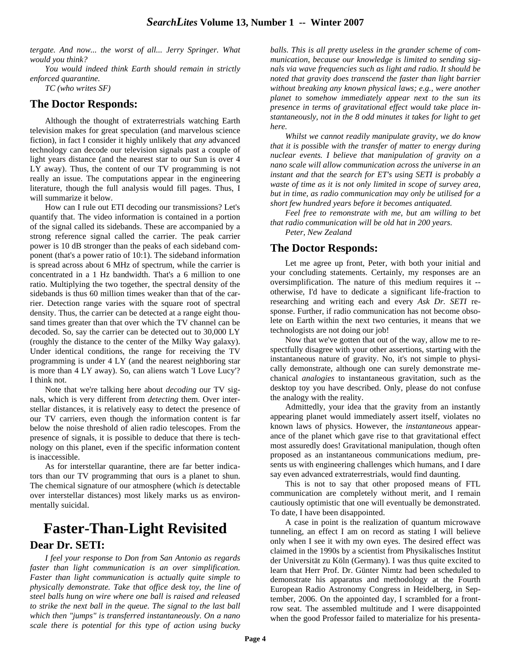*tergate. And now... the worst of all... Jerry Springer. What would you think?*

*You would indeed think Earth should remain in strictly enforced quarantine.* 

*TC (who writes SF)*

### **The Doctor Responds:**

Although the thought of extraterrestrials watching Earth television makes for great speculation (and marvelous science fiction), in fact I consider it highly unlikely that *any* advanced technology can decode our television signals past a couple of light years distance (and the nearest star to our Sun is over 4 LY away). Thus, the content of our TV programming is not really an issue. The computations appear in the engineering literature, though the full analysis would fill pages. Thus, I will summarize it below.

How can I rule out ETI decoding our transmissions? Let's quantify that. The video information is contained in a portion of the signal called its sidebands. These are accompanied by a strong reference signal called the carrier. The peak carrier power is 10 dB stronger than the peaks of each sideband component (that's a power ratio of 10:1). The sideband information is spread across about 6 MHz of spectrum, while the carrier is concentrated in a 1 Hz bandwidth. That's a 6 million to one ratio. Multiplying the two together, the spectral density of the sidebands is thus 60 million times weaker than that of the carrier. Detection range varies with the square root of spectral density. Thus, the carrier can be detected at a range eight thousand times greater than that over which the TV channel can be decoded. So, say the carrier can be detected out to 30,000 LY (roughly the distance to the center of the Milky Way galaxy). Under identical conditions, the range for receiving the TV programming is under 4 LY (and the nearest neighboring star is more than 4 LY away). So, can aliens watch 'I Love Lucy'? I think not.

Note that we're talking here about *decoding* our TV signals, which is very different from *detecting* them. Over interstellar distances, it is relatively easy to detect the presence of our TV carriers, even though the information content is far below the noise threshold of alien radio telescopes. From the presence of signals, it is possible to deduce that there is technology on this planet, even if the specific information content is inaccessible.

As for interstellar quarantine, there are far better indicators than our TV programming that ours is a planet to shun. The chemical signature of our atmosphere (which *is* detectable over interstellar distances) most likely marks us as environmentally suicidal.

## **Faster-Than-Light Revisited Dear Dr. SETI:**

*I feel your response to Don from San Antonio as regards faster than light communication is an over simplification. Faster than light communication is actually quite simple to physically demonstrate. Take that office desk toy, the line of steel balls hung on wire where one ball is raised and released to strike the next ball in the queue. The signal to the last ball which then "jumps" is transferred instantaneously. On a nano scale there is potential for this type of action using bucky*

*balls. This is all pretty useless in the grander scheme of communication, because our knowledge is limited to sending signals via wave frequencies such as light and radio. It should be noted that gravity does transcend the faster than light barrier without breaking any known physical laws; e.g., were another planet to somehow immediately appear next to the sun its presence in terms of gravitational effect would take place instantaneously, not in the 8 odd minutes it takes for light to get here.*

*Whilst we cannot readily manipulate gravity, we do know that it is possible with the transfer of matter to energy during nuclear events. I believe that manipulation of gravity on a nano scale will allow communication across the universe in an instant and that the search for ET's using SETI is probably a waste of time as it is not only limited in scope of survey area, but in time, as radio communication may only be utilised for a short few hundred years before it becomes antiquated.*

*Feel free to remonstrate with me, but am willing to bet that radio communication will be old hat in 200 years. Peter, New Zealand*

### **The Doctor Responds:**

Let me agree up front, Peter, with both your initial and your concluding statements. Certainly, my responses are an oversimplification. The nature of this medium requires it - otherwise, I'd have to dedicate a significant life-fraction to researching and writing each and every *Ask Dr. SETI* response. Further, if radio communication has not become obsolete on Earth within the next two centuries, it means that we technologists are not doing our job!

Now that we've gotten that out of the way, allow me to respectfully disagree with your other assertions, starting with the instantaneous nature of gravity. No, it's not simple to physically demonstrate, although one can surely demonstrate mechanical *analogies* to instantaneous gravitation, such as the desktop toy you have described. Only, please do not confuse the analogy with the reality.

Admittedly, your idea that the gravity from an instantly appearing planet would immediately assert itself, violates no known laws of physics. However, the *instantaneous* appearance of the planet which gave rise to that gravitational effect most assuredly does! Gravitational manipulation, though often proposed as an instantaneous communications medium, presents us with engineering challenges which humans, and I dare say even advanced extraterrestrials, would find daunting.

This is not to say that other proposed means of FTL communication are completely without merit, and I remain cautiously optimistic that one will eventually be demonstrated. To date, I have been disappointed.

A case in point is the realization of quantum microwave tunneling, an effect I am on record as stating I will believe only when I see it with my own eyes. The desired effect was claimed in the 1990s by a scientist from Physikalisches Institut der Universität zu Köln (Germany). I was thus quite excited to learn that Herr Prof. Dr. Günter Nimtz had been scheduled to demonstrate his apparatus and methodology at the Fourth European Radio Astronomy Congress in Heidelberg, in September, 2006. On the appointed day, I scrambled for a frontrow seat. The assembled multitude and I were disappointed when the good Professor failed to materialize for his presenta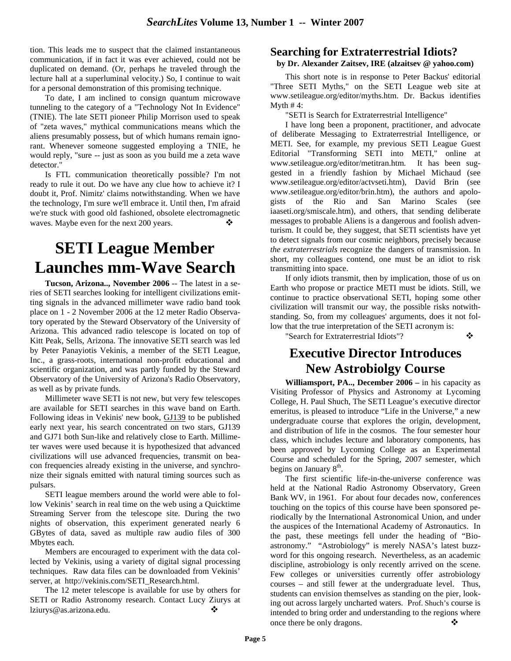tion. This leads me to suspect that the claimed instantaneous communication, if in fact it was ever achieved, could not be duplicated on demand. (Or, perhaps he traveled through the lecture hall at a superluminal velocity.) So, I continue to wait for a personal demonstration of this promising technique.

To date, I am inclined to consign quantum microwave tunneling to the category of a "Technology Not In Evidence" (TNIE). The late SETI pioneer Philip Morrison used to speak of "zeta waves," mythical communications means which the aliens presumably possess, but of which humans remain ignorant. Whenever someone suggested employing a TNIE, he would reply, "sure -- just as soon as you build me a zeta wave detector."

Is FTL communication theoretically possible? I'm not ready to rule it out. Do we have any clue how to achieve it? I doubt it, Prof. Nimitz' claims notwithstanding. When we have the technology, I'm sure we'll embrace it. Until then, I'm afraid we're stuck with good old fashioned, obsolete electromagnetic waves. Maybe even for the next 200 years.

# **SETI League Member Launches mm-Wave Search**

**Tucson, Arizona.., November 2006** -- The latest in a series of SETI searches looking for intelligent civilizations emitting signals in the advanced millimeter wave radio band took place on 1 - 2 November 2006 at the 12 meter Radio Observatory operated by the Steward Observatory of the University of Arizona. This advanced radio telescope is located on top of Kitt Peak, Sells, Arizona. The innovative SETI search was led by Peter Panayiotis Vekinis, a member of the SETI League, Inc., a grass-roots, international non-profit educational and scientific organization, and was partly funded by the Steward Observatory of the University of Arizona's Radio Observatory, as well as by private funds.

Millimeter wave SETI is not new, but very few telescopes are available for SETI searches in this wave band on Earth. Following ideas in Vekinis' new book, GJ139 to be published early next year, his search concentrated on two stars, GJ139 and GJ71 both Sun-like and relatively close to Earth. Millimeter waves were used because it is hypothesized that advanced civilizations will use advanced frequencies, transmit on beacon frequencies already existing in the universe, and synchronize their signals emitted with natural timing sources such as pulsars.

SETI league members around the world were able to follow Vekinis' search in real time on the web using a Quicktime Streaming Server from the telescope site. During the two nights of observation, this experiment generated nearly 6 GBytes of data, saved as multiple raw audio files of 300 Mbytes each.

Members are encouraged to experiment with the data collected by Vekinis, using a variety of digital signal processing techniques. Raw data files can be downloaded from Vekinis' server, at http://vekinis.com/SETI\_Research.html.

The 12 meter telescope is available for use by others for SETI or Radio Astronomy research. Contact Lucy Ziurys at lziurys @ as.arizona.edu. ◆

## **Searching for Extraterrestrial Idiots?**

### **by Dr. Alexander Zaitsev, IRE (alzaitsev @ yahoo.com)**

This short note is in response to Peter Backus' editorial "Three SETI Myths," on the SETI League web site at www.setileague.org/editor/myths.htm. Dr. Backus identifies Myth  $#4$ :

"SETI is Search for Extraterrestrial Intelligence"

I have long been a proponent, practitioner, and advocate of deliberate Messaging to Extraterrestrial Intelligence, or METI. See, for example, my previous SETI League Guest Editorial "Transforming SETI into METI," online at www.setileague.org/editor/metitran.htm. It has been suggested in a friendly fashion by Michael Michaud (see www.setileague.org/editor/actvseti.htm), David Brin (see www.setileague.org/editor/brin.htm), the authors and apologists of the Rio and San Marino Scales (see iaaseti.org/smiscale.htm), and others, that sending deliberate messages to probable Aliens is a dangerous and foolish adventurism. It could be, they suggest, that SETI scientists have yet to detect signals from our cosmic neighbors, precisely because *the extraterrestrials* recognize the dangers of transmission. In short, my colleagues contend, one must be an idiot to risk transmitting into space.

If only idiots transmit, then by implication, those of us on Earth who propose or practice METI must be idiots. Still, we continue to practice observational SETI, hoping some other civilization will transmit our way, the possible risks notwithstanding. So, from my colleagues' arguments, does it not follow that the true interpretation of the SETI acronym is:

"Search for Extraterrestrial Idiots"?

## **Executive Director Introduces New Astrobiolgy Course**

**Williamsport, PA.., December 2006 –** in his capacity as Visiting Professor of Physics and Astronomy at Lycoming College, H. Paul Shuch, The SETI League's executive director emeritus, is pleased to introduce "Life in the Universe," a new undergraduate course that explores the origin, development, and distribution of life in the cosmos. The four semester hour class, which includes lecture and laboratory components, has been approved by Lycoming College as an Experimental Course and scheduled for the Spring, 2007 semester, which begins on January 8<sup>th</sup>.

The first scientific life-in-the-universe conference was held at the National Radio Astronomy Observatory, Green Bank WV, in 1961. For about four decades now, conferences touching on the topics of this course have been sponsored periodically by the International Astronomical Union, and under the auspices of the International Academy of Astronautics. In the past, these meetings fell under the heading of "Bioastronomy." "Astrobiology" is merely NASA's latest buzzword for this ongoing research. Nevertheless, as an academic discipline, astrobiology is only recently arrived on the scene. Few colleges or universities currently offer astrobiology courses – and still fewer at the undergraduate level. Thus, students can envision themselves as standing on the pier, looking out across largely uncharted waters. Prof. Shuch's course is intended to bring order and understanding to the regions where once there be only dragons.